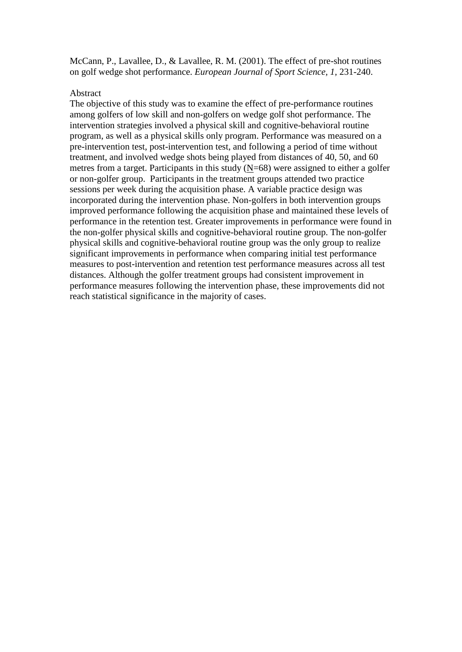McCann, P., Lavallee, D., & Lavallee, R. M. (2001). The effect of pre-shot routines on golf wedge shot performance. *European Journal of Sport Science, 1,* 231-240.

### Abstract

The objective of this study was to examine the effect of pre-performance routines among golfers of low skill and non-golfers on wedge golf shot performance. The intervention strategies involved a physical skill and cognitive-behavioral routine program, as well as a physical skills only program. Performance was measured on a pre-intervention test, post-intervention test, and following a period of time without treatment, and involved wedge shots being played from distances of 40, 50, and 60 metres from a target. Participants in this study  $(N=68)$  were assigned to either a golfer or non-golfer group. Participants in the treatment groups attended two practice sessions per week during the acquisition phase. A variable practice design was incorporated during the intervention phase. Non-golfers in both intervention groups improved performance following the acquisition phase and maintained these levels of performance in the retention test. Greater improvements in performance were found in the non-golfer physical skills and cognitive-behavioral routine group. The non-golfer physical skills and cognitive-behavioral routine group was the only group to realize significant improvements in performance when comparing initial test performance measures to post-intervention and retention test performance measures across all test distances. Although the golfer treatment groups had consistent improvement in performance measures following the intervention phase, these improvements did not reach statistical significance in the majority of cases.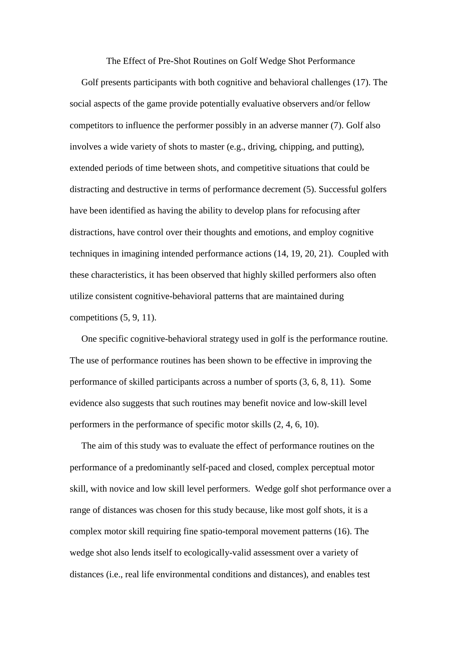The Effect of Pre-Shot Routines on Golf Wedge Shot Performance

 Golf presents participants with both cognitive and behavioral challenges (17). The social aspects of the game provide potentially evaluative observers and/or fellow competitors to influence the performer possibly in an adverse manner (7). Golf also involves a wide variety of shots to master (e.g., driving, chipping, and putting), extended periods of time between shots, and competitive situations that could be distracting and destructive in terms of performance decrement (5). Successful golfers have been identified as having the ability to develop plans for refocusing after distractions, have control over their thoughts and emotions, and employ cognitive techniques in imagining intended performance actions (14, 19, 20, 21). Coupled with these characteristics, it has been observed that highly skilled performers also often utilize consistent cognitive-behavioral patterns that are maintained during competitions (5, 9, 11).

 One specific cognitive-behavioral strategy used in golf is the performance routine. The use of performance routines has been shown to be effective in improving the performance of skilled participants across a number of sports (3, 6, 8, 11). Some evidence also suggests that such routines may benefit novice and low-skill level performers in the performance of specific motor skills (2, 4, 6, 10).

 The aim of this study was to evaluate the effect of performance routines on the performance of a predominantly self-paced and closed, complex perceptual motor skill, with novice and low skill level performers. Wedge golf shot performance over a range of distances was chosen for this study because, like most golf shots, it is a complex motor skill requiring fine spatio-temporal movement patterns (16). The wedge shot also lends itself to ecologically-valid assessment over a variety of distances (i.e., real life environmental conditions and distances), and enables test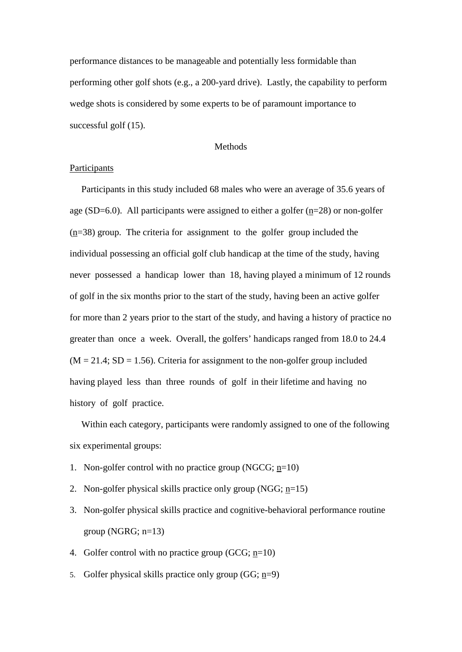performance distances to be manageable and potentially less formidable than performing other golf shots (e.g., a 200-yard drive). Lastly, the capability to perform wedge shots is considered by some experts to be of paramount importance to successful golf (15).

#### Methods

## **Participants**

 Participants in this study included 68 males who were an average of 35.6 years of age (SD=6.0). All participants were assigned to either a golfer  $(n=28)$  or non-golfer (n=38) group. The criteria for assignment to the golfer group included the individual possessing an official golf club handicap at the time of the study, having never possessed a handicap lower than 18, having played a minimum of 12 rounds of golf in the six months prior to the start of the study, having been an active golfer for more than 2 years prior to the start of the study, and having a history of practice no greater than once a week. Overall, the golfers' handicaps ranged from 18.0 to 24.4  $(M = 21.4; SD = 1.56)$ . Criteria for assignment to the non-golfer group included having played less than three rounds of golf in their lifetime and having no history of golf practice.

 Within each category, participants were randomly assigned to one of the following six experimental groups:

- 1. Non-golfer control with no practice group (NGCG; n=10)
- 2. Non-golfer physical skills practice only group (NGG; n=15)
- 3. Non-golfer physical skills practice and cognitive-behavioral performance routine group (NGRG;  $n=13$ )
- 4. Golfer control with no practice group (GCG;  $n=10$ )
- 5. Golfer physical skills practice only group (GG; n=9)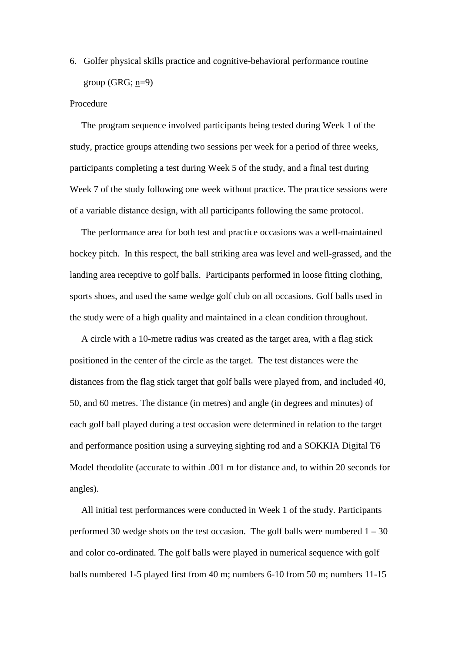6. Golfer physical skills practice and cognitive-behavioral performance routine group (GRG;  $n=9$ )

#### Procedure

 The program sequence involved participants being tested during Week 1 of the study, practice groups attending two sessions per week for a period of three weeks, participants completing a test during Week 5 of the study, and a final test during Week 7 of the study following one week without practice. The practice sessions were of a variable distance design, with all participants following the same protocol.

 The performance area for both test and practice occasions was a well-maintained hockey pitch. In this respect, the ball striking area was level and well-grassed, and the landing area receptive to golf balls. Participants performed in loose fitting clothing, sports shoes, and used the same wedge golf club on all occasions. Golf balls used in the study were of a high quality and maintained in a clean condition throughout.

 A circle with a 10-metre radius was created as the target area, with a flag stick positioned in the center of the circle as the target. The test distances were the distances from the flag stick target that golf balls were played from, and included 40, 50, and 60 metres. The distance (in metres) and angle (in degrees and minutes) of each golf ball played during a test occasion were determined in relation to the target and performance position using a surveying sighting rod and a SOKKIA Digital T6 Model theodolite (accurate to within .001 m for distance and, to within 20 seconds for angles).

 All initial test performances were conducted in Week 1 of the study. Participants performed 30 wedge shots on the test occasion. The golf balls were numbered  $1 - 30$ and color co-ordinated. The golf balls were played in numerical sequence with golf balls numbered 1-5 played first from 40 m; numbers 6-10 from 50 m; numbers 11-15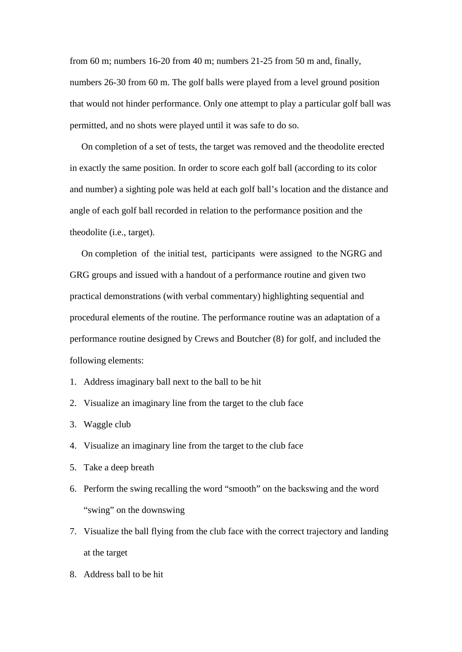from 60 m; numbers 16-20 from 40 m; numbers 21-25 from 50 m and, finally, numbers 26-30 from 60 m. The golf balls were played from a level ground position that would not hinder performance. Only one attempt to play a particular golf ball was permitted, and no shots were played until it was safe to do so.

 On completion of a set of tests, the target was removed and the theodolite erected in exactly the same position. In order to score each golf ball (according to its color and number) a sighting pole was held at each golf ball's location and the distance and angle of each golf ball recorded in relation to the performance position and the theodolite (i.e., target).

 On completion of the initial test, participants were assigned to the NGRG and GRG groups and issued with a handout of a performance routine and given two practical demonstrations (with verbal commentary) highlighting sequential and procedural elements of the routine. The performance routine was an adaptation of a performance routine designed by Crews and Boutcher (8) for golf, and included the following elements:

- 1. Address imaginary ball next to the ball to be hit
- 2. Visualize an imaginary line from the target to the club face
- 3. Waggle club
- 4. Visualize an imaginary line from the target to the club face
- 5. Take a deep breath
- 6. Perform the swing recalling the word "smooth" on the backswing and the word "swing" on the downswing
- 7. Visualize the ball flying from the club face with the correct trajectory and landing at the target
- 8. Address ball to be hit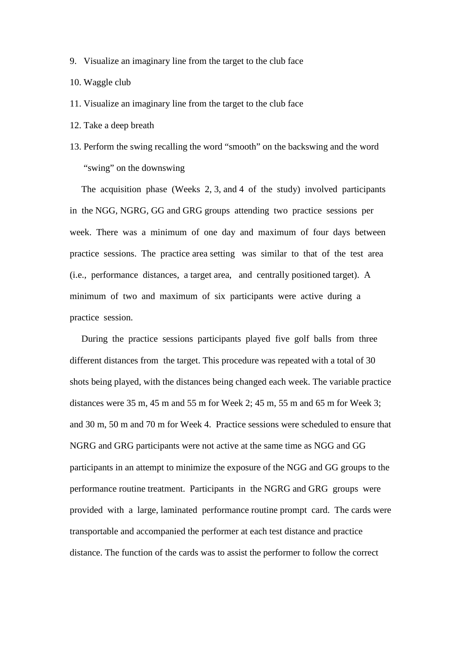- 9. Visualize an imaginary line from the target to the club face
- 10. Waggle club
- 11. Visualize an imaginary line from the target to the club face
- 12. Take a deep breath
- 13. Perform the swing recalling the word "smooth" on the backswing and the word "swing" on the downswing

 The acquisition phase (Weeks 2, 3, and 4 of the study) involved participants in the NGG, NGRG, GG and GRG groups attending two practice sessions per week. There was a minimum of one day and maximum of four days between practice sessions. The practice area setting was similar to that of the test area (i.e., performance distances, a target area, and centrally positioned target). A minimum of two and maximum of six participants were active during a practice session.

 During the practice sessions participants played five golf balls from three different distances from the target. This procedure was repeated with a total of 30 shots being played, with the distances being changed each week. The variable practice distances were 35 m, 45 m and 55 m for Week 2; 45 m, 55 m and 65 m for Week 3; and 30 m, 50 m and 70 m for Week 4.Practice sessions were scheduled to ensure that NGRG and GRG participants were not active at the same time as NGG and GG participants in an attempt to minimize the exposure of the NGG and GG groups to the performance routine treatment. Participants in the NGRG and GRG groups were provided with a large, laminated performance routine prompt card. The cards were transportable and accompanied the performer at each test distance and practice distance. The function of the cards was to assist the performer to follow the correct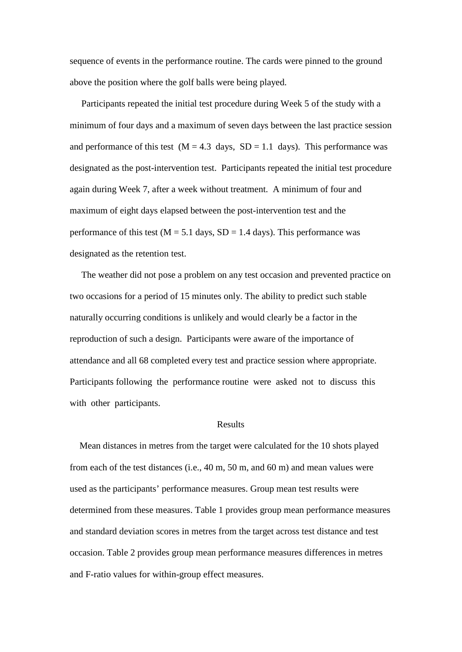sequence of events in the performance routine. The cards were pinned to the ground above the position where the golf balls were being played.

 Participants repeated the initial test procedure during Week 5 of the study with a minimum of four days and a maximum of seven days between the last practice session and performance of this test  $(M = 4.3$  days,  $SD = 1.1$  days). This performance was designated as the post-intervention test. Participants repeated the initial test procedure again during Week 7, after a week without treatment. A minimum of four and maximum of eight days elapsed between the post-intervention test and the performance of this test ( $M = 5.1$  days,  $SD = 1.4$  days). This performance was designated as the retention test.

 The weather did not pose a problem on any test occasion and prevented practice on two occasions for a period of 15 minutes only. The ability to predict such stable naturally occurring conditions is unlikely and would clearly be a factor in the reproduction of such a design. Participants were aware of the importance of attendance and all 68 completed every test and practice session where appropriate. Participants following the performance routine were asked not to discuss this with other participants.

### Results

 Mean distances in metres from the target were calculated for the 10 shots played from each of the test distances (i.e., 40 m, 50 m, and 60 m) and mean values were used as the participants' performance measures. Group mean test results were determined from these measures. Table 1 provides group mean performance measures and standard deviation scores in metres from the target across test distance and test occasion. Table 2 provides group mean performance measures differences in metres and F-ratio values for within-group effect measures.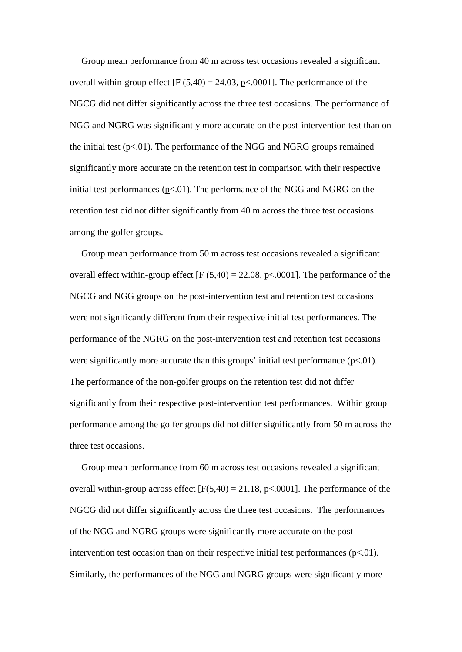Group mean performance from 40 m across test occasions revealed a significant overall within-group effect  $[F (5,40) = 24.03, p < .0001]$ . The performance of the NGCG did not differ significantly across the three test occasions. The performance of NGG and NGRG was significantly more accurate on the post-intervention test than on the initial test  $(p<.01)$ . The performance of the NGG and NGRG groups remained significantly more accurate on the retention test in comparison with their respective initial test performances  $(p<0.01)$ . The performance of the NGG and NGRG on the retention test did not differ significantly from 40 m across the three test occasions among the golfer groups.

 Group mean performance from 50 m across test occasions revealed a significant overall effect within-group effect  $[F (5,40) = 22.08, p \lt 0.0001]$ . The performance of the NGCG and NGG groups on the post-intervention test and retention test occasions were not significantly different from their respective initial test performances. The performance of the NGRG on the post-intervention test and retention test occasions were significantly more accurate than this groups' initial test performance  $(p<0.01)$ . The performance of the non-golfer groups on the retention test did not differ significantly from their respective post-intervention test performances. Within group performance among the golfer groups did not differ significantly from 50 m across the three test occasions.

 Group mean performance from 60 m across test occasions revealed a significant overall within-group across effect  $[F(5,40) = 21.18, p<0.001]$ . The performance of the NGCG did not differ significantly across the three test occasions. The performances of the NGG and NGRG groups were significantly more accurate on the postintervention test occasion than on their respective initial test performances  $(p<01)$ . Similarly, the performances of the NGG and NGRG groups were significantly more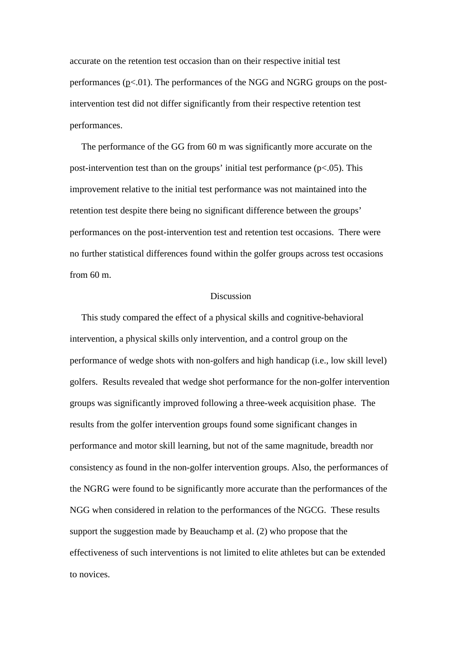accurate on the retention test occasion than on their respective initial test performances ( $p<01$ ). The performances of the NGG and NGRG groups on the postintervention test did not differ significantly from their respective retention test performances.

 The performance of the GG from 60 m was significantly more accurate on the post-intervention test than on the groups' initial test performance  $(p<.05)$ . This improvement relative to the initial test performance was not maintained into the retention test despite there being no significant difference between the groups' performances on the post-intervention test and retention test occasions. There were no further statistical differences found within the golfer groups across test occasions from 60 m.

## Discussion

 This study compared the effect of a physical skills and cognitive-behavioral intervention, a physical skills only intervention, and a control group on the performance of wedge shots with non-golfers and high handicap (i.e., low skill level) golfers. Results revealed that wedge shot performance for the non-golfer intervention groups was significantly improved following a three-week acquisition phase. The results from the golfer intervention groups found some significant changes in performance and motor skill learning, but not of the same magnitude, breadth nor consistency as found in the non-golfer intervention groups. Also, the performances of the NGRG were found to be significantly more accurate than the performances of the NGG when considered in relation to the performances of the NGCG. These results support the suggestion made by Beauchamp et al. (2) who propose that the effectiveness of such interventions is not limited to elite athletes but can be extended to novices.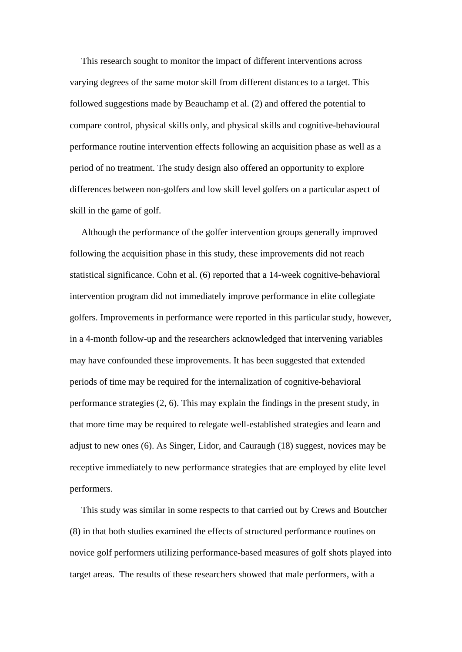This research sought to monitor the impact of different interventions across varying degrees of the same motor skill from different distances to a target. This followed suggestions made by Beauchamp et al. (2) and offered the potential to compare control, physical skills only, and physical skills and cognitive-behavioural performance routine intervention effects following an acquisition phase as well as a period of no treatment. The study design also offered an opportunity to explore differences between non-golfers and low skill level golfers on a particular aspect of skill in the game of golf.

 Although the performance of the golfer intervention groups generally improved following the acquisition phase in this study, these improvements did not reach statistical significance. Cohn et al. (6) reported that a 14-week cognitive-behavioral intervention program did not immediately improve performance in elite collegiate golfers. Improvements in performance were reported in this particular study, however, in a 4-month follow-up and the researchers acknowledged that intervening variables may have confounded these improvements. It has been suggested that extended periods of time may be required for the internalization of cognitive-behavioral performance strategies (2, 6). This may explain the findings in the present study, in that more time may be required to relegate well-established strategies and learn and adjust to new ones (6). As Singer, Lidor, and Cauraugh (18) suggest, novices may be receptive immediately to new performance strategies that are employed by elite level performers.

 This study was similar in some respects to that carried out by Crews and Boutcher (8) in that both studies examined the effects of structured performance routines on novice golf performers utilizing performance-based measures of golf shots played into target areas. The results of these researchers showed that male performers, with a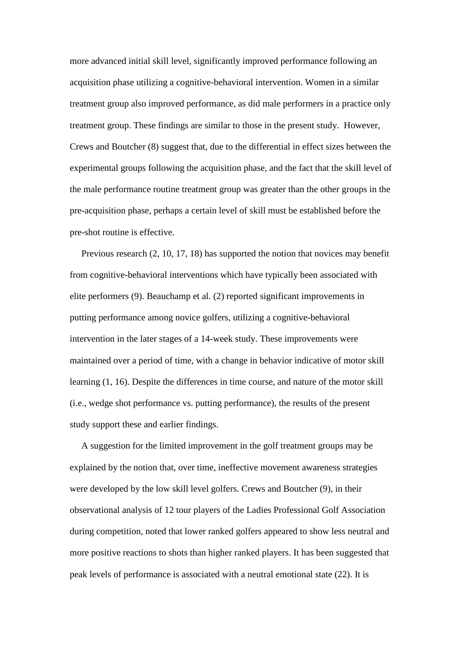more advanced initial skill level, significantly improved performance following an acquisition phase utilizing a cognitive-behavioral intervention. Women in a similar treatment group also improved performance, as did male performers in a practice only treatment group. These findings are similar to those in the present study. However, Crews and Boutcher (8) suggest that, due to the differential in effect sizes between the experimental groups following the acquisition phase, and the fact that the skill level of the male performance routine treatment group was greater than the other groups in the pre-acquisition phase, perhaps a certain level of skill must be established before the pre-shot routine is effective.

 Previous research (2, 10, 17, 18) has supported the notion that novices may benefit from cognitive-behavioral interventions which have typically been associated with elite performers (9). Beauchamp et al. (2) reported significant improvements in putting performance among novice golfers, utilizing a cognitive-behavioral intervention in the later stages of a 14-week study. These improvements were maintained over a period of time, with a change in behavior indicative of motor skill learning (1, 16). Despite the differences in time course, and nature of the motor skill (i.e., wedge shot performance vs. putting performance), the results of the present study support these and earlier findings.

 A suggestion for the limited improvement in the golf treatment groups may be explained by the notion that, over time, ineffective movement awareness strategies were developed by the low skill level golfers. Crews and Boutcher (9), in their observational analysis of 12 tour players of the Ladies Professional Golf Association during competition, noted that lower ranked golfers appeared to show less neutral and more positive reactions to shots than higher ranked players. It has been suggested that peak levels of performance is associated with a neutral emotional state (22). It is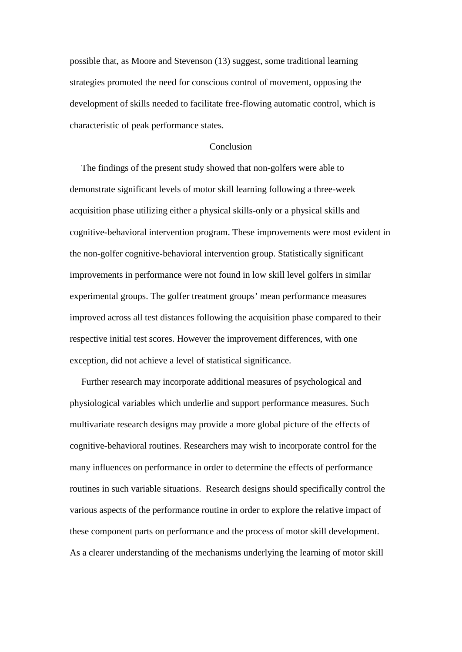possible that, as Moore and Stevenson (13) suggest, some traditional learning strategies promoted the need for conscious control of movement, opposing the development of skills needed to facilitate free-flowing automatic control, which is characteristic of peak performance states.

### **Conclusion**

 The findings of the present study showed that non-golfers were able to demonstrate significant levels of motor skill learning following a three-week acquisition phase utilizing either a physical skills-only or a physical skills and cognitive-behavioral intervention program. These improvements were most evident in the non-golfer cognitive-behavioral intervention group. Statistically significant improvements in performance were not found in low skill level golfers in similar experimental groups. The golfer treatment groups' mean performance measures improved across all test distances following the acquisition phase compared to their respective initial test scores. However the improvement differences, with one exception, did not achieve a level of statistical significance.

 Further research may incorporate additional measures of psychological and physiological variables which underlie and support performance measures. Such multivariate research designs may provide a more global picture of the effects of cognitive-behavioral routines. Researchers may wish to incorporate control for the many influences on performance in order to determine the effects of performance routines in such variable situations. Research designs should specifically control the various aspects of the performance routine in order to explore the relative impact of these component parts on performance and the process of motor skill development. As a clearer understanding of the mechanisms underlying the learning of motor skill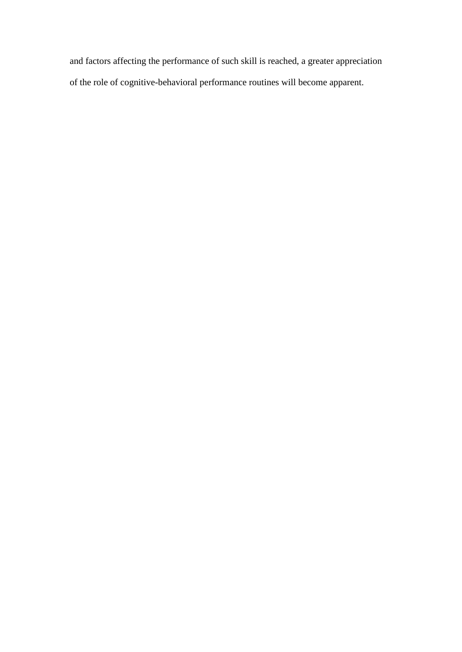and factors affecting the performance of such skill is reached, a greater appreciation of the role of cognitive-behavioral performance routines will become apparent.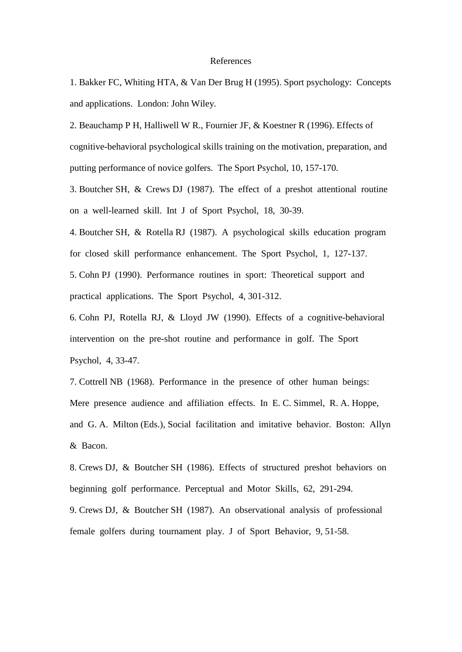#### References

1. Bakker FC, Whiting HTA, & Van Der Brug H (1995). Sport psychology: Concepts and applications. London: John Wiley.

2. Beauchamp P H, Halliwell W R., Fournier JF, & Koestner R (1996). Effects of cognitive-behavioral psychological skills training on the motivation, preparation, and putting performance of novice golfers. The Sport Psychol, 10, 157-170.

3. Boutcher SH, & Crews DJ (1987). The effect of a preshot attentional routine on a well-learned skill. Int J of Sport Psychol, 18, 30-39.

4. Boutcher SH, & Rotella RJ (1987). A psychological skills education program for closed skill performance enhancement. The Sport Psychol, 1, 127-137.

5. Cohn PJ (1990). Performance routines in sport: Theoretical support and practical applications. The Sport Psychol, 4, 301-312.

6. Cohn PJ, Rotella RJ, & Lloyd JW (1990). Effects of a cognitive-behavioral intervention on the pre-shot routine and performance in golf. The Sport Psychol, 4, 33-47.

7. Cottrell NB (1968). Performance in the presence of other human beings: Mere presence audience and affiliation effects. In E. C. Simmel, R. A. Hoppe, and G. A. Milton (Eds.), Social facilitation and imitative behavior. Boston: Allyn & Bacon.

8. Crews DJ, & Boutcher SH (1986). Effects of structured preshot behaviors on beginning golf performance. Perceptual and Motor Skills, 62, 291-294.

9. Crews DJ, & Boutcher SH (1987). An observational analysis of professional female golfers during tournament play. J of Sport Behavior, 9, 51-58.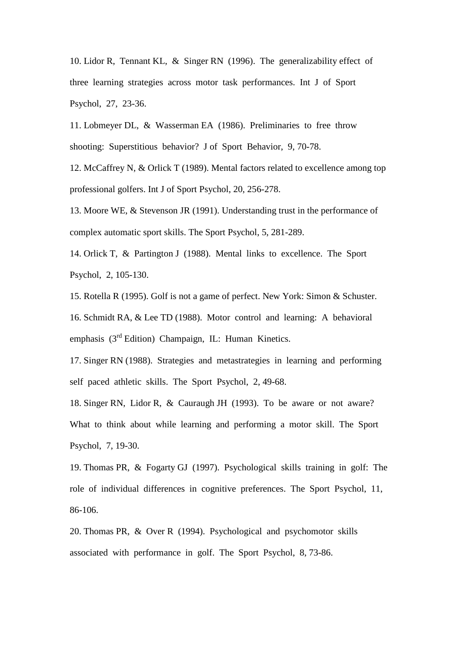10. Lidor R, Tennant KL, & Singer RN (1996). The generalizability effect of three learning strategies across motor task performances. Int J of Sport Psychol, 27, 23-36.

11. Lobmeyer DL, & Wasserman EA (1986). Preliminaries to free throw shooting: Superstitious behavior? J of Sport Behavior, 9, 70-78.

12. McCaffrey N, & Orlick T (1989). Mental factors related to excellence among top professional golfers. Int J of Sport Psychol, 20, 256-278.

13. Moore WE, & Stevenson JR (1991). Understanding trust in the performance of complex automatic sport skills. The Sport Psychol, 5, 281-289.

14. Orlick T, & Partington J (1988). Mental links to excellence. The Sport Psychol, 2, 105-130.

15. Rotella R (1995). Golf is not a game of perfect. New York: Simon & Schuster.

16. Schmidt RA, & Lee TD (1988). Motor control and learning: A behavioral emphasis  $(3<sup>rd</sup> Edition)$  Champaign, IL: Human Kinetics.

17. Singer RN (1988). Strategies and metastrategies in learning and performing self paced athletic skills. The Sport Psychol, 2, 49-68.

18. Singer RN, Lidor R, & Cauraugh JH (1993). To be aware or not aware? What to think about while learning and performing a motor skill. The Sport Psychol, 7, 19-30.

19. Thomas PR, & Fogarty GJ (1997). Psychological skills training in golf: The role of individual differences in cognitive preferences. The Sport Psychol, 11, 86-106.

20. Thomas PR, & Over R (1994). Psychological and psychomotor skills associated with performance in golf. The Sport Psychol, 8, 73-86.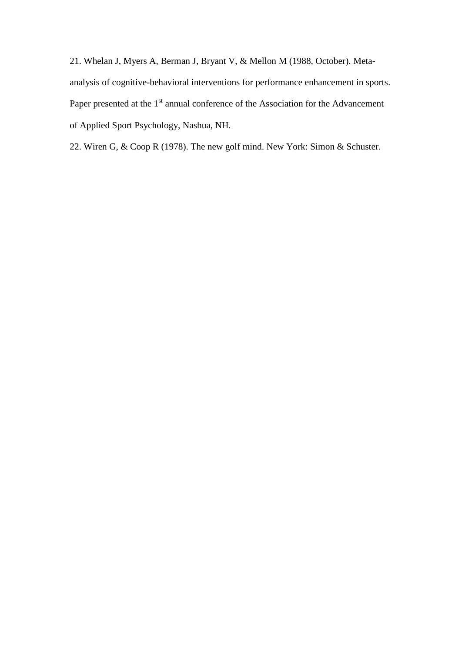21. Whelan J, Myers A, Berman J, Bryant V, & Mellon M (1988, October). Metaanalysis of cognitive-behavioral interventions for performance enhancement in sports. Paper presented at the 1<sup>st</sup> annual conference of the Association for the Advancement of Applied Sport Psychology, Nashua, NH.

22. Wiren G, & Coop R (1978). The new golf mind. New York: Simon & Schuster.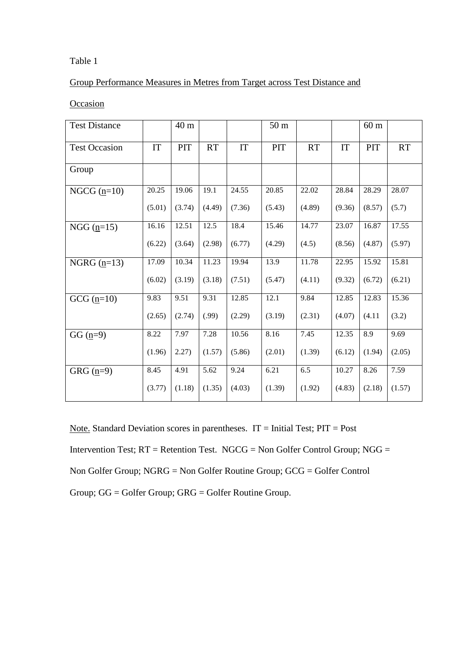## Table 1

# Group Performance Measures in Metres from Target across Test Distance and

## **Occasion**

| <b>Test Distance</b> |        | 40 <sub>m</sub> |           |        | 50 <sub>m</sub> |        |        | $60 \text{ m}$ |           |
|----------------------|--------|-----------------|-----------|--------|-----------------|--------|--------|----------------|-----------|
| <b>Test Occasion</b> | IT     | PIT             | <b>RT</b> | IT     | PIT             | RT     | IT     | PIT            | <b>RT</b> |
| Group                |        |                 |           |        |                 |        |        |                |           |
| NGCG $(p=10)$        | 20.25  | 19.06           | 19.1      | 24.55  | 20.85           | 22.02  | 28.84  | 28.29          | 28.07     |
|                      | (5.01) | (3.74)          | (4.49)    | (7.36) | (5.43)          | (4.89) | (9.36) | (8.57)         | (5.7)     |
| NGG $(n=15)$         | 16.16  | 12.51           | 12.5      | 18.4   | 15.46           | 14.77  | 23.07  | 16.87          | 17.55     |
|                      | (6.22) | (3.64)          | (2.98)    | (6.77) | (4.29)          | (4.5)  | (8.56) | (4.87)         | (5.97)    |
| NGRG $(n=13)$        | 17.09  | 10.34           | 11.23     | 19.94  | 13.9            | 11.78  | 22.95  | 15.92          | 15.81     |
|                      | (6.02) | (3.19)          | (3.18)    | (7.51) | (5.47)          | (4.11) | (9.32) | (6.72)         | (6.21)    |
| GCG $(n=10)$         | 9.83   | 9.51            | 9.31      | 12.85  | 12.1            | 9.84   | 12.85  | 12.83          | 15.36     |
|                      | (2.65) | (2.74)          | (.99)     | (2.29) | (3.19)          | (2.31) | (4.07) | (4.11)         | (3.2)     |
| GG $(n=9)$           | 8.22   | 7.97            | 7.28      | 10.56  | 8.16            | 7.45   | 12.35  | 8.9            | 9.69      |
|                      | (1.96) | 2.27)           | (1.57)    | (5.86) | (2.01)          | (1.39) | (6.12) | (1.94)         | (2.05)    |
| GRG $(n=9)$          | 8.45   | 4.91            | 5.62      | 9.24   | 6.21            | 6.5    | 10.27  | 8.26           | 7.59      |
|                      | (3.77) | (1.18)          | (1.35)    | (4.03) | (1.39)          | (1.92) | (4.83) | (2.18)         | (1.57)    |

Note. Standard Deviation scores in parentheses.  $IT = Initial Test$ ;  $PIT = Post$ 

Intervention Test; RT = Retention Test. NGCG = Non Golfer Control Group; NGG =

```
Non Golfer Group; NGRG = Non Golfer Routine Group; GCG = Golfer Control
```
Group; GG = Golfer Group; GRG = Golfer Routine Group.